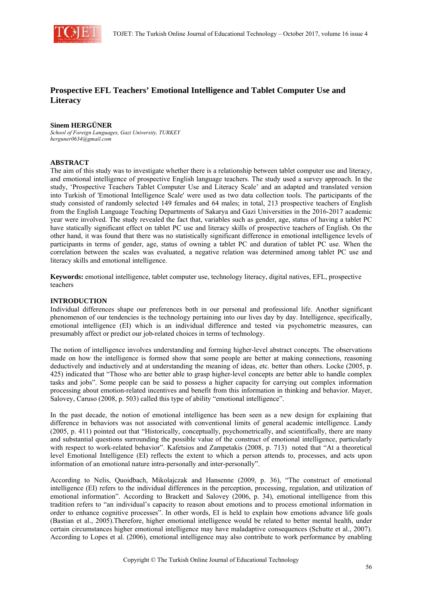

# **Prospective EFL Teachers' Emotional Intelligence and Tablet Computer Use and Literacy**

#### **Sinem HERGÜNER**

*School of Foreign Languages, Gazi University, TURKEY herguner0634@gmail.com* 

## **ABSTRACT**

The aim of this study was to investigate whether there is a relationship between tablet computer use and literacy, and emotional intelligence of prospective English language teachers. The study used a survey approach. In the study, 'Prospective Teachers Tablet Computer Use and Literacy Scale' and an adapted and translated version into Turkish of 'Emotional Intelligence Scale' were used as two data collection tools. The participants of the study consisted of randomly selected 149 females and 64 males; in total, 213 prospective teachers of English from the English Language Teaching Departments of Sakarya and Gazi Universities in the 2016-2017 academic year were involved. The study revealed the fact that, variables such as gender, age, status of having a tablet PC have statically significant effect on tablet PC use and literacy skills of prospective teachers of English. On the other hand, it was found that there was no statistically significant difference in emotional intelligence levels of participants in terms of gender, age, status of owning a tablet PC and duration of tablet PC use. When the correlation between the scales was evaluated, a negative relation was determined among tablet PC use and literacy skills and emotional intelligence.

**Keywords:** emotional intelligence, tablet computer use, technology literacy, digital natives, EFL, prospective teachers

#### **INTRODUCTION**

Individual differences shape our preferences both in our personal and professional life. Another significant phenomenon of our tendencies is the technology pertaining into our lives day by day. Intelligence, specifically, emotional intelligence (EI) which is an individual difference and tested via psychometric measures, can presumably affect or predict our job-related choices in terms of technology.

The notion of intelligence involves understanding and forming higher-level abstract concepts. The observations made on how the intelligence is formed show that some people are better at making connections, reasoning deductively and inductively and at understanding the meaning of ideas, etc. better than others. Locke (2005, p. 425) indicated that "Those who are better able to grasp higher-level concepts are better able to handle complex tasks and jobs". Some people can be said to possess a higher capacity for carrying out complex information processing about emotion-related incentives and benefit from this information in thinking and behavior. Mayer, Salovey, Caruso (2008, p. 503) called this type of ability "emotional intelligence".

In the past decade, the notion of emotional intelligence has been seen as a new design for explaining that difference in behaviors was not associated with conventional limits of general academic intelligence. Landy (2005, p. 411) pointed out that "Historically, conceptually, psychometrically, and scientifically, there are many and substantial questions surrounding the possible value of the construct of emotional intelligence, particularly with respect to work-related behavior". Kafetsios and Zampetakis (2008, p. 713) noted that "At a theoretical level Emotional Intelligence (EI) reflects the extent to which a person attends to, processes, and acts upon information of an emotional nature intra-personally and inter-personally".

According to Nelis, Quoidbach, Mikolajczak and Hansenne (2009, p. 36), "The construct of emotional intelligence (EI) refers to the individual differences in the perception, processing, regulation, and utilization of emotional information". According to Brackett and Salovey (2006, p. 34), emotional intelligence from this tradition refers to "an individual's capacity to reason about emotions and to process emotional information in order to enhance cognitive processes". In other words, EI is held to explain how emotions advance life goals (Bastian et al., 2005).Therefore, higher emotional intelligence would be related to better mental health, under certain circumstances higher emotional intelligence may have maladaptive consequences (Schutte et al., 2007). According to Lopes et al. (2006), emotional intelligence may also contribute to work performance by enabling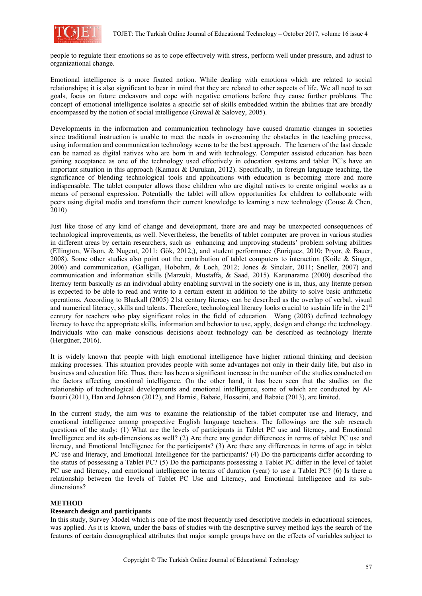

people to regulate their emotions so as to cope effectively with stress, perform well under pressure, and adjust to organizational change.

Emotional intelligence is a more fixated notion. While dealing with emotions which are related to social relationships; it is also significant to bear in mind that they are related to other aspects of life. We all need to set goals, focus on future endeavors and cope with negative emotions before they cause further problems. The concept of emotional intelligence isolates a specific set of skills embedded within the abilities that are broadly encompassed by the notion of social intelligence (Grewal  $\&$  Salovey, 2005).

Developments in the information and communication technology have caused dramatic changes in societies since traditional instruction is unable to meet the needs in overcoming the obstacles in the teaching process, using information and communication technology seems to be the best approach. The learners of the last decade can be named as digital natives who are born in and with technology. Computer assisted education has been gaining acceptance as one of the technology used effectively in education systems and tablet PC's have an important situation in this approach (Kamacı & Durukan, 2012). Specifically, in foreign language teaching, the significance of blending technological tools and applications with education is becoming more and more indispensable. The tablet computer allows those children who are digital natives to create original works as a means of personal expression. Potentially the tablet will allow opportunities for children to collaborate with peers using digital media and transform their current knowledge to learning a new technology (Couse & Chen, 2010)

Just like those of any kind of change and development, there are and may be unexpected consequences of technological improvements, as well. Nevertheless, the benefits of tablet computer are proven in various studies in different areas by certain researchers, such as enhancing and improving students' problem solving abilities (Ellington, Wilson, & Nugent, 2011; Gök, 2012;), and student performance (Enriquez, 2010; Pryor, & Bauer, 2008). Some other studies also point out the contribution of tablet computers to interaction (Koile & Singer, 2006) and communication, (Galligan, Hobohm, & Loch, 2012; Jones & Sinclair, 2011; Sneller, 2007) and communication and information skills (Marzuki, Mustaffa, & Saad, 2015). Karunaratne (2000) described the literacy term basically as an individual ability enabling survival in the society one is in, thus, any literate person is expected to be able to read and write to a certain extent in addition to the ability to solve basic arithmetic operations. According to Blackall (2005) 21st century literacy can be described as the overlap of verbal, visual and numerical literacy, skills and talents. Therefore, technological literacy looks crucial to sustain life in the 21<sup>st</sup> century for teachers who play significant roles in the field of education. Wang (2003) defined technology literacy to have the appropriate skills, information and behavior to use, apply, design and change the technology. Individuals who can make conscious decisions about technology can be described as technology literate (Hergüner, 2016).

It is widely known that people with high emotional intelligence have higher rational thinking and decision making processes. This situation provides people with some advantages not only in their daily life, but also in business and education life. Thus, there has been a significant increase in the number of the studies conducted on the factors affecting emotional intelligence. On the other hand, it has been seen that the studies on the relationship of technological developments and emotional intelligence, some of which are conducted by Alfaouri (2011), Han and Johnson (2012), and Hamisi, Babaie, Hosseini, and Babaie (2013), are limited.

In the current study, the aim was to examine the relationship of the tablet computer use and literacy, and emotional intelligence among prospective English language teachers. The followings are the sub research questions of the study: (1) What are the levels of participants in Tablet PC use and literacy, and Emotional Intelligence and its sub-dimensions as well? (2) Are there any gender differences in terms of tablet PC use and literacy, and Emotional Intelligence for the participants? (3) Are there any differences in terms of age in tablet PC use and literacy, and Emotional Intelligence for the participants? (4) Do the participants differ according to the status of possessing a Tablet PC? (5) Do the participants possessing a Tablet PC differ in the level of tablet PC use and literacy, and emotional intelligence in terms of duration (year) to use a Tablet PC? (6) Is there a relationship between the levels of Tablet PC Use and Literacy, and Emotional Intelligence and its subdimensions?

## **METHOD**

## **Research design and participants**

In this study, Survey Model which is one of the most frequently used descriptive models in educational sciences, was applied. As it is known, under the basis of studies with the descriptive survey method lays the search of the features of certain demographical attributes that major sample groups have on the effects of variables subject to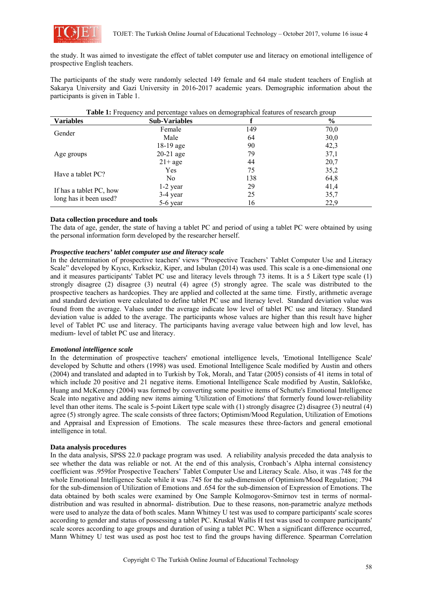

the study. It was aimed to investigate the effect of tablet computer use and literacy on emotional intelligence of prospective English teachers.

The participants of the study were randomly selected 149 female and 64 male student teachers of English at Sakarya University and Gazi University in 2016-2017 academic years. Demographic information about the participants is given in Table 1.

| <b>Variables</b>                                  | <b>Sub-Variables</b> |     | $\%$ |
|---------------------------------------------------|----------------------|-----|------|
| Gender                                            | Female               | 149 | 70,0 |
|                                                   | Male                 | 64  | 30,0 |
|                                                   | $18-19$ age          | 90  | 42,3 |
| Age groups                                        | $20-21$ age          | 79  | 37,1 |
|                                                   | $21+age$             | 44  | 20,7 |
| Have a tablet PC?                                 | Yes                  | 75  | 35,2 |
|                                                   | No.                  | 138 | 64,8 |
|                                                   | $1-2$ year           | 29  | 41,4 |
| If has a tablet PC, how<br>long has it been used? | 3-4 year             | 25  | 35,7 |
|                                                   | 5-6 year             | 16  | 22,9 |

**Table 1:** Frequency and percentage values on demographical features of research group

## **Data collection procedure and tools**

The data of age, gender, the state of having a tablet PC and period of using a tablet PC were obtained by using the personal information form developed by the researcher herself.

## *Prospective teachers' tablet computer use and literacy scale*

In the determination of prospective teachers' views "Prospective Teachers' Tablet Computer Use and Literacy Scale" developed by Kıyıcı, Kırksekiz, Kiper, and Isbulan (2014) was used. This scale is a one-dimensional one and it measures participants' Tablet PC use and literacy levels through 73 items. It is a 5 Likert type scale (1) strongly disagree (2) disagree (3) neutral (4) agree (5) strongly agree. The scale was distributed to the prospective teachers as hardcopies. They are applied and collected at the same time. Firstly, arithmetic average and standard deviation were calculated to define tablet PC use and literacy level. Standard deviation value was found from the average. Values under the average indicate low level of tablet PC use and literacy. Standard deviation value is added to the average. The participants whose values are higher than this result have higher level of Tablet PC use and literacy. The participants having average value between high and low level, has medium- level of tablet PC use and literacy.

## *Emotional intelligence scale*

In the determination of prospective teachers' emotional intelligence levels, 'Emotional Intelligence Scale' developed by Schutte and others (1998) was used. Emotional Intelligence Scale modified by Austin and others (2004) and translated and adapted in to Turkish by Tok, Moralı, and Tatar (2005) consists of 41 items in total of which include 20 positive and 21 negative items. Emotional Intelligence Scale modified by Austin, Saklofske, Huang and McKenney (2004) was formed by converting some positive items of Schutte's Emotional Intelligence Scale into negative and adding new items aiming 'Utilization of Emotions' that formerly found lower-reliability level than other items. The scale is 5-point Likert type scale with (1) strongly disagree (2) disagree (3) neutral (4) agree (5) strongly agree. The scale consists of three factors; Optimism/Mood Regulation, Utilization of Emotions and Appraisal and Expression of Emotions. The scale measures these three-factors and general emotional intelligence in total.

## **Data analysis procedures**

In the data analysis, SPSS 22.0 package program was used. A reliability analysis preceded the data analysis to see whether the data was reliable or not. At the end of this analysis, Cronbach's Alpha internal consistency coefficient was .959for Prospective Teachers' Tablet Computer Use and Literacy Scale. Also, it was .748 for the whole Emotional Intelligence Scale while it was .745 for the sub-dimension of Optimism/Mood Regulation; .794 for the sub-dimension of Utilization of Emotions and .654 for the sub-dimension of Expression of Emotions. The data obtained by both scales were examined by One Sample Kolmogorov-Smirnov test in terms of normaldistribution and was resulted in abnormal- distribution. Due to these reasons, non-parametric analyze methods were used to analyze the data of both scales. Mann Whitney U test was used to compare participants' scale scores according to gender and status of possessing a tablet PC. Kruskal Wallis H test was used to compare participants' scale scores according to age groups and duration of using a tablet PC. When a significant difference occurred, Mann Whitney U test was used as post hoc test to find the groups having difference. Spearman Correlation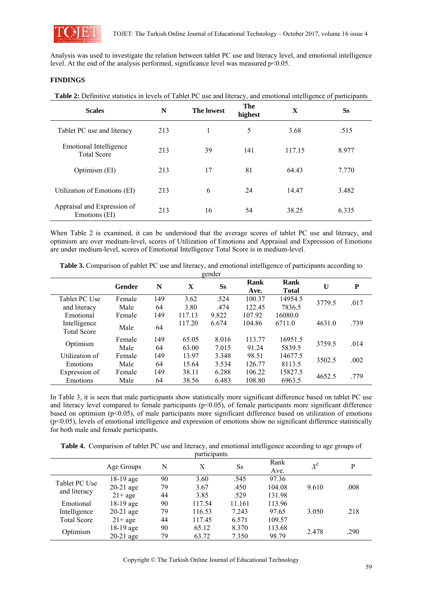

Analysis was used to investigate the relation between tablet PC use and literacy level, and emotional intelligence level. At the end of the analysis performed, significance level was measured p<0.05.

# **FINDINGS**

**Table 2:** Definitive statistics in levels of Tablet PC use and literacy, and emotional intelligence of participants

| <b>Scales</b>                                | N   | <b>The lowest</b> | The<br>highest | X      | <b>Ss</b> |
|----------------------------------------------|-----|-------------------|----------------|--------|-----------|
| Tablet PC use and literacy                   | 213 |                   | 5              | 3.68   | .515      |
| Emotional Intelligence<br><b>Total Score</b> | 213 | 39                | 141            | 117.15 | 8.977     |
| Optimism (EI)                                | 213 | 17                | 81             | 64.43  | 7.770     |
| Utilization of Emotions (EI)                 | 213 | 6                 | 24             | 14.47  | 3.482     |
| Appraisal and Expression of<br>Emotions (EI) | 213 | 16                | 54             | 38.25  | 6.335     |

When Table 2 is examined, it can be understood that the average scores of tablet PC use and literacy, and optimism are over medium-level, scores of Utilization of Emotions and Appraisal and Expression of Emotions are under medium-level, scores of Emotional Intelligence Total Score is in medium-level.

|  |  |  | Table 3. Comparison of pablet PC use and literacy, and emotional intelligence of participants according to |  |  |  |  |
|--|--|--|------------------------------------------------------------------------------------------------------------|--|--|--|--|
|--|--|--|------------------------------------------------------------------------------------------------------------|--|--|--|--|

| gender                             |        |     |             |           |              |                      |        |      |
|------------------------------------|--------|-----|-------------|-----------|--------------|----------------------|--------|------|
|                                    | Gender | N   | $\mathbf X$ | <b>Ss</b> | Rank<br>Ave. | Rank<br><b>Total</b> | U      | P    |
| Tablet PC Use                      | Female | 149 | 3.62        | .524      | 100.37       | 14954.5              | 3779.5 | .017 |
| and literacy                       | Male   | 64  | 3.80        | .474      | 122.45       | 7836.5               |        |      |
| Emotional                          | Female | 149 | 117.13      | 9.822     | 107.92       | 16080.0              |        |      |
| Intelligence<br><b>Total Score</b> | Male   | 64  | 117.20      | 6.674     | 104.86       | 6711.0               | 4631.0 | .739 |
| Optimism                           | Female | 149 | 65.05       | 8.016     | 113.77       | 16951.5              | 3759.5 | .014 |
|                                    | Male   | 64  | 63.00       | 7.015     | 91.24        | 5839.5               |        |      |
| Utilization of                     | Female | 149 | 13.97       | 3.348     | 98.51        | 14677.5              | 3502.5 | .002 |
| Emotions                           | Male   | 64  | 15.64       | 3.534     | 126.77       | 8113.5               |        |      |
| Expression of                      | Female | 149 | 38.11       | 6.288     | 106.22       | 15827.5              | 4652.5 | .779 |
| Emotions                           | Male   | 64  | 38.56       | 6.483     | 108.80       | 6963.5               |        |      |

In Table 3, it is seen that male participants show statistically more significant difference based on tablet PC use and literacy level compared to female participants ( $p<0.05$ ), of female participants more significant difference based on optimism (p<0.05), of male participants more significant difference based on utilization of emotions (p<0.05), levels of emotional intelligence and expression of emotions show no significant difference statistically for both male and female participants.

**Table 4.** Comparison of tablet PC use and literacy, and emotional intelligence according to age groups of participants

|                    | Age Groups  | N  | X      | <b>Ss</b> | Rank<br>Ave. | $X^2$ | P    |
|--------------------|-------------|----|--------|-----------|--------------|-------|------|
| Tablet PC Use      | $18-19$ age | 90 | 3.60   | .545      | 97.36        |       |      |
|                    | $20-21$ age | 79 | 3.67   | .450      | 104.08       | 9.610 | .008 |
| and literacy       | $21+age$    | 44 | 3.85   | .529      | 131.98       |       |      |
| Emotional          | 18-19 age   | 90 | 117.54 | 11.161    | 113.96       |       |      |
| Intelligence       | $20-21$ age | 79 | 116.53 | 7.243     | 97.65        | 3.050 | .218 |
| <b>Total Score</b> | $21+age$    | 44 | 117.45 | 6.571     | 109.57       |       |      |
| Optimism           | 18-19 age   | 90 | 65.12  | 8.370     | 113.68       |       |      |
|                    | $20-21$ age | 79 | 63.72  | 7.350     | 98.79        | 2.478 | .290 |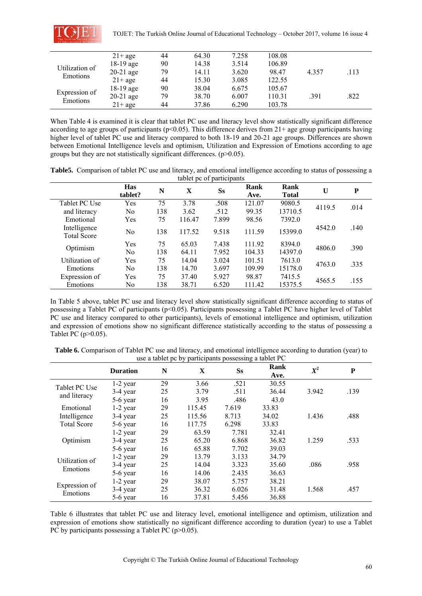

|                           | $21+$ age   | 44 | 64.30 | 7.258 | 108.08 |       |      |
|---------------------------|-------------|----|-------|-------|--------|-------|------|
| Utilization of            | $18-19$ age | 90 | 14.38 | 3.514 | 106.89 |       |      |
|                           | $20-21$ age | 79 | 14.11 | 3.620 | 98.47  | 4.357 | .113 |
| Emotions                  | $21+$ age   | 44 | 15.30 | 3.085 | 122.55 |       |      |
| Expression of<br>Emotions | $18-19$ age | 90 | 38.04 | 6.675 | 105.67 |       |      |
|                           | $20-21$ age | 79 | 38.70 | 6.007 | 110.31 | .391  | .822 |
|                           | $21+$ age   | 44 | 37.86 | 6.290 | 103.78 |       |      |

When Table 4 is examined it is clear that tablet PC use and literacy level show statistically significant difference according to age groups of participants ( $p<0.05$ ). This difference derives from 21+ age group participants having higher level of tablet PC use and literacy compared to both 18-19 and 20-21 age groups. Differences are shown between Emotional Intelligence levels and optimism, Utilization and Expression of Emotions according to age groups but they are not statistically significant differences.  $(p>0.05)$ .

**Table5.** Comparison of tablet PC use and literacy, and emotional intelligence according to status of possessing a tablet pc of participants

|                                    | <b>Has</b><br>tablet? | N   | $\mathbf X$ | <b>Ss</b> | Rank<br>Ave. | Rank<br><b>Total</b> | U      | P    |
|------------------------------------|-----------------------|-----|-------------|-----------|--------------|----------------------|--------|------|
| Tablet PC Use                      | Yes                   | 75  | 3.78        | .508      | 121.07       | 9080.5               |        |      |
| and literacy                       | No                    | 138 | 3.62        | .512      | 99.35        | 13710.5              | 4119.5 | .014 |
| Emotional                          | Yes                   | 75  | 116.47      | 7.899     | 98.56        | 7392.0               |        |      |
| Intelligence<br><b>Total Score</b> | No                    | 138 | 117.52      | 9.518     | 111.59       | 15399.0              | 4542.0 | .140 |
|                                    | Yes                   | 75  | 65.03       | 7.438     | 111.92       | 8394.0               | 4806.0 | .390 |
| Optimism                           | No                    | 138 | 64.11       | 7.952     | 104.33       | 14397.0              |        |      |
| Utilization of                     | Yes                   | 75  | 14.04       | 3.024     | 101.51       | 7613.0               | 4763.0 | .335 |
| Emotions                           | No.                   | 138 | 14.70       | 3.697     | 109.99       | 15178.0              |        |      |
| Expression of                      | Yes                   | 75  | 37.40       | 5.927     | 98.87        | 7415.5               | 4565.5 | .155 |
| Emotions                           | No                    | 138 | 38.71       | 6.520     | 111.42       | 15375.5              |        |      |

In Table 5 above, tablet PC use and literacy level show statistically significant difference according to status of possessing a Tablet PC of participants (p<0.05). Participants possessing a Tablet PC have higher level of Tablet PC use and literacy compared to other participants), levels of emotional intelligence and optimism, utilization and expression of emotions show no significant difference statistically according to the status of possessing a Tablet PC (p>0.05).

**Table 6.** Comparison of Tablet PC use and literacy, and emotional intelligence according to duration (year) to use a tablet pc by participants possessing a tablet PC

|                    | <b>Duration</b> | N  | X      | <b>Ss</b> | Rank<br>Ave. | $\pmb{X}^{\pmb{2}}$ | P    |
|--------------------|-----------------|----|--------|-----------|--------------|---------------------|------|
| Tablet PC Use      | $1-2$ year      | 29 | 3.66   | .521      | 30.55        |                     |      |
|                    | 3-4 year        | 25 | 3.79   | .511      | 36.44        | 3.942               | .139 |
| and literacy       | 5-6 year        | 16 | 3.95   | .486      | 43.0         |                     |      |
| Emotional          | $1-2$ year      | 29 | 115.45 | 7.619     | 33.83        |                     |      |
| Intelligence       | 3-4 year        | 25 | 115.56 | 8.713     | 34.02        | 1.436               | .488 |
| <b>Total Score</b> | 5-6 year        | 16 | 117.75 | 6.298     | 33.83        |                     |      |
|                    | $1-2$ year      | 29 | 63.59  | 7.781     | 32.41        |                     |      |
| Optimism           | 3-4 year        | 25 | 65.20  | 6.868     | 36.82        | 1.259               | .533 |
|                    | 5-6 year        | 16 | 65.88  | 7.702     | 39.03        |                     |      |
| Utilization of     | $1-2$ year      | 29 | 13.79  | 3.133     | 34.79        |                     |      |
|                    | 3-4 year        | 25 | 14.04  | 3.323     | 35.60        | .086                | .958 |
| Emotions           | 5-6 year        | 16 | 14.06  | 2.435     | 36.63        |                     |      |
|                    | $1-2$ year      | 29 | 38.07  | 5.757     | 38.21        |                     |      |
| Expression of      | 3-4 year        | 25 | 36.32  | 6.026     | 31.48        | 1.568               | .457 |
| Emotions           | 5-6 year        | 16 | 37.81  | 5.456     | 36.88        |                     |      |

Table 6 illustrates that tablet PC use and literacy level, emotional intelligence and optimism, utilization and expression of emotions show statistically no significant difference according to duration (year) to use a Tablet PC by participants possessing a Tablet PC (p>0.05).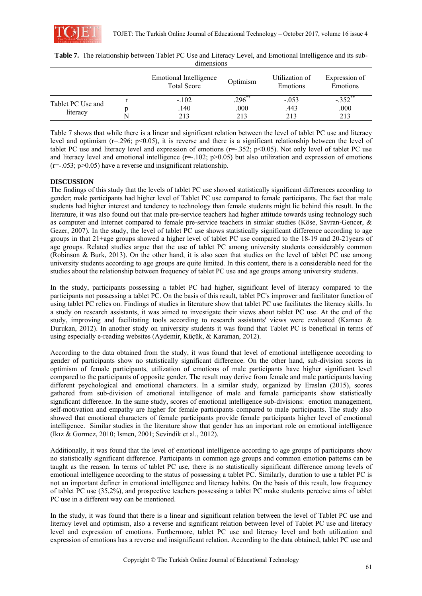

|                               | Emotional Intelligence<br><b>Total Score</b> | Optimism  | Utilization of<br>Emotions | Expression of<br>Emotions |
|-------------------------------|----------------------------------------------|-----------|----------------------------|---------------------------|
|                               | $-.102$                                      | $.296$ ** | $-.053$                    | $-352$ **                 |
| Tablet PC Use and<br>literacy | .140                                         | .000      | .443                       | .000                      |
|                               | 213                                          | 213       | 213                        | 213                       |

| <b>Table 7.</b> The relationship between Tablet PC Use and Literacy Level, and Emotional Intelligence and its sub- |            |  |  |
|--------------------------------------------------------------------------------------------------------------------|------------|--|--|
|                                                                                                                    | dimensions |  |  |

Table 7 shows that while there is a linear and significant relation between the level of tablet PC use and literacy level and optimism ( $r=0.296$ ;  $p<0.05$ ), it is reverse and there is a significant relationship between the level of tablet PC use and literacy level and expression of emotions ( $r=-.352$ ;  $p<0.05$ ). Not only level of tablet PC use and literacy level and emotional intelligence  $(r=-.102; p>0.05)$  but also utilization and expression of emotions  $(r=-.053; p>0.05)$  have a reverse and insignificant relationship.

## **DISCUSSION**

The findings of this study that the levels of tablet PC use showed statistically significant differences according to gender; male participants had higher level of Tablet PC use compared to female participants. The fact that male students had higher interest and tendency to technology than female students might lie behind this result. In the literature, it was also found out that male pre-service teachers had higher attitude towards using technology such as computer and Internet compared to female pre-service teachers in similar studies (Köse, Savran-Gencer, & Gezer, 2007). In the study, the level of tablet PC use shows statistically significant difference according to age groups in that 21+age groups showed a higher level of tablet PC use compared to the 18-19 and 20-21years of age groups. Related studies argue that the use of tablet PC among university students considerably common (Robinson & Burk, 2013). On the other hand, it is also seen that studies on the level of tablet PC use among university students according to age groups are quite limited. In this content, there is a considerable need for the studies about the relationship between frequency of tablet PC use and age groups among university students.

In the study, participants possessing a tablet PC had higher, significant level of literacy compared to the participants not possessing a tablet PC. On the basis of this result, tablet PC's improver and facilitator function of using tablet PC relies on. Findings of studies in literature show that tablet PC use facilitates the literacy skills. In a study on research assistants, it was aimed to investigate their views about tablet PC use. At the end of the study, improving and facilitating tools according to research assistants' views were evaluated (Kamacı & Durukan, 2012). In another study on university students it was found that Tablet PC is beneficial in terms of using especially e-reading websites (Aydemir, Küçük, & Karaman, 2012).

According to the data obtained from the study, it was found that level of emotional intelligence according to gender of participants show no statistically significant difference. On the other hand, sub-division scores in optimism of female participants, utilization of emotions of male participants have higher significant level compared to the participants of opposite gender. The result may derive from female and male participants having different psychological and emotional characters. In a similar study, organized by Eraslan (2015), scores gathered from sub-division of emotional intelligence of male and female participants show statistically significant difference. In the same study, scores of emotional intelligence sub-divisions: emotion management, self-motivation and empathy are higher for female participants compared to male participants. The study also showed that emotional characters of female participants provide female participants higher level of emotional intelligence. Similar studies in the literature show that gender has an important role on emotional intelligence (Ikız & Gormez, 2010; Ismen, 2001; Sevindik et al., 2012).

Additionally, it was found that the level of emotional intelligence according to age groups of participants show no statistically significant difference. Participants in common age groups and common emotion patterns can be taught as the reason. In terms of tablet PC use, there is no statistically significant difference among levels of emotional intelligence according to the status of possessing a tablet PC. Similarly, duration to use a tablet PC is not an important definer in emotional intelligence and literacy habits. On the basis of this result, low frequency of tablet PC use (35,2%), and prospective teachers possessing a tablet PC make students perceive aims of tablet PC use in a different way can be mentioned.

In the study, it was found that there is a linear and significant relation between the level of Tablet PC use and literacy level and optimism, also a reverse and significant relation between level of Tablet PC use and literacy level and expression of emotions. Furthermore, tablet PC use and literacy level and both utilization and expression of emotions has a reverse and insignificant relation. According to the data obtained, tablet PC use and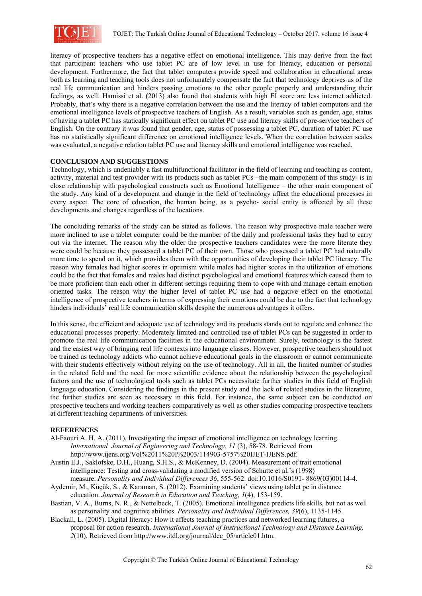

literacy of prospective teachers has a negative effect on emotional intelligence. This may derive from the fact that participant teachers who use tablet PC are of low level in use for literacy, education or personal development. Furthermore, the fact that tablet computers provide speed and collaboration in educational areas both as learning and teaching tools does not unfortunately compensate the fact that technology deprives us of the real life communication and hinders passing emotions to the other people properly and understanding their feelings, as well. Hamissi et al. (2013) also found that students with high EI score are less internet addicted. Probably, that's why there is a negative correlation between the use and the literacy of tablet computers and the emotional intelligence levels of prospective teachers of English. As a result, variables such as gender, age, status of having a tablet PC has statically significant effect on tablet PC use and literacy skills of pre-service teachers of English. On the contrary it was found that gender, age, status of possessing a tablet PC, duration of tablet PC use has no statistically significant difference on emotional intelligence levels. When the correlation between scales was evaluated, a negative relation tablet PC use and literacy skills and emotional intelligence was reached.

## **CONCLUSION AND SUGGESTIONS**

Technology, which is undeniably a fast multifunctional facilitator in the field of learning and teaching as content, activity, material and test provider with its products such as tablet PCs –the main component of this study- is in close relationship with psychological constructs such as Emotional Intelligence – the other main component of the study. Any kind of a development and change in the field of technology affect the educational processes in every aspect. The core of education, the human being, as a psycho- social entity is affected by all these developments and changes regardless of the locations.

The concluding remarks of the study can be stated as follows. The reason why prospective male teacher were more inclined to use a tablet computer could be the number of the daily and professional tasks they had to carry out via the internet. The reason why the older the prospective teachers candidates were the more literate they were could be because they possessed a tablet PC of their own. Those who possessed a tablet PC had naturally more time to spend on it, which provides them with the opportunities of developing their tablet PC literacy. The reason why females had higher scores in optimism while males had higher scores in the utilization of emotions could be the fact that females and males had distinct psychological and emotional features which caused them to be more proficient than each other in different settings requiring them to cope with and manage certain emotion oriented tasks. The reason why the higher level of tablet PC use had a negative effect on the emotional intelligence of prospective teachers in terms of expressing their emotions could be due to the fact that technology hinders individuals' real life communication skills despite the numerous advantages it offers.

In this sense, the efficient and adequate use of technology and its products stands out to regulate and enhance the educational processes properly. Moderately limited and controlled use of tablet PCs can be suggested in order to promote the real life communication facilities in the educational environment. Surely, technology is the fastest and the easiest way of bringing real life contexts into language classes. However, prospective teachers should not be trained as technology addicts who cannot achieve educational goals in the classroom or cannot communicate with their students effectively without relying on the use of technology. All in all, the limited number of studies in the related field and the need for more scientific evidence about the relationship between the psychological factors and the use of technological tools such as tablet PCs necessitate further studies in this field of English language education. Considering the findings in the present study and the lack of related studies in the literature, the further studies are seen as necessary in this field. For instance, the same subject can be conducted on prospective teachers and working teachers comparatively as well as other studies comparing prospective teachers at different teaching departments of universities.

## **REFERENCES**

- Al-Faouri A. H. A. (2011). Investigating the impact of emotional intelligence on technology learning. *International Journal of Engineering and Technology*, *11* (3), 58-78. Retrieved from http://www.ijens.org/Vol%2011%20I%2003/114903-5757%20IJET-IJENS.pdf.
- Austin E.J., Saklofske, D.H., Huang, S.H.S., & McKenney, D. (2004). Measurement of trait emotional intelligence: Testing and cross-validating a modified version of Schutte et al.'s (1998) measure. *Personality and Individual Differences 36*, 555-562. doi:10.1016/S0191- 8869(03)00114-4.
- Aydemir, M., Küçük, S., & Karaman, S. (2012). Examining students' views using tablet pc in distance education. *Journal of Research in Education and Teaching, 1*(4), 153-159.
- Bastian, V. A., Burns, N. R., & Nettelbeck, T. (2005). Emotional intelligence predicts life skills, but not as well as personality and cognitive abilities. *Personality and Individual Differences, 39*(6), 1135-1145.
- Blackall, L. (2005). Digital literacy: How it affects teaching practices and networked learning futures, a proposal for action research. *International Journal of Instructional Technology and Distance Learning, 2*(10). Retrieved from http://www.itdl.org/journal/dec\_05/article01.htm.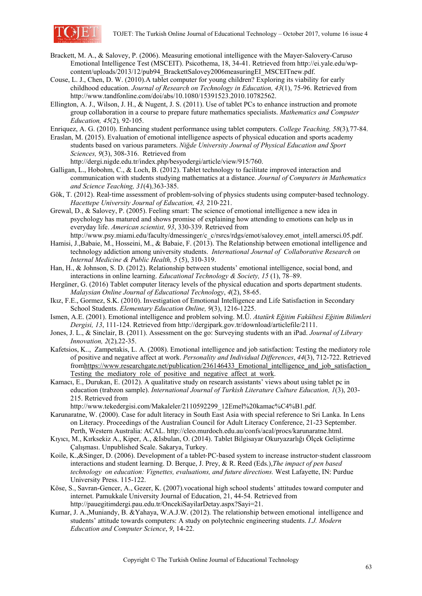

- Brackett, M. A., & Salovey, P. (2006). Measuring emotional intelligence with the Mayer-Salovery-Caruso Emotional Intelligence Test (MSCEIT). Psicothema, 18, 34-41. Retrieved from http://ei.yale.edu/wpcontent/uploads/2013/12/pub94\_BrackettSalovey2006measuringEI\_MSCEITnew.pdf.
- Couse, L. J., Chen, D. W. (2010).A tablet computer for young children? Exploring its viability for early childhood education. *Journal of Research on Technology in Education, 43*(1), 75-96. Retrieved from http://www.tandfonline.com/doi/abs/10.1080/15391523.2010.10782562.
- Ellington, A. J., Wilson, J. H., & Nugent, J. S. (2011). Use of tablet PCs to enhance instruction and promote group collaboration in a course to prepare future mathematics specialists. *Mathematics and Computer Education, 45*(2)*,* 92‐105.

Enriquez, A. G. (2010). Enhancing student performance using tablet computers. *College Teaching, 58*(3)*,*77‐84.

- Eraslan, M. (2015). Evaluation of emotional intelligence aspects of physical education and sports academy students based on various parameters. *Niğde University Journal of Physical Education and Sport Sciences, 9*(3), 308-316. Retrieved from http://dergi.nigde.edu.tr/index.php/besyodergi/article/view/915/760.
- Galligan, L., Hobohm, C., & Loch, B. (2012). Tablet technology to facilitate improved interaction and communication with students studying mathematics at a distance. *Journal of Computers in Mathematics and Science Teaching, 31*(4)*,*363‐385.
- Gök, T. (2012). Real-time assessment of problem-solving of physics students using computer-based technology. *Hacettepe University Journal of Education, 43,* 210‐221.
- Grewal, D., & Salovey, P. (2005). Feeling smart: The science of emotional intelligence a new idea in psychology has matured and shows promise of explaining how attending to emotions can help us in everyday life. *American scientist, 93*, 330-339. Retrieved from
- http://www.psy.miami.edu/faculty/dmessinger/c\_c/rsrcs/rdgs/emot/salovey.emot\_intell.amersci.05.pdf. Hamisi, J.,Babaie, M., Hosseini, M., & Babaie, F. (2013). The Relationship between emotional intelligence and technology addiction among university students. *International Journal of Collaborative Research on Internal Medicine & Public Health, 5* (5), 310-319.
- Han, H., & Johnson, S. D. (2012). Relationship between students' emotional intelligence, social bond, and interactions in online learning. *Educational Technology & Society, 15* (1), 78–89.
- Hergüner, G. (2016) Tablet computer literacy levels of the physical education and sports department students. *Malaysian Online Journal of Educational Technology*, *4*(2), 58-65.
- Ikız, F.E., Gormez, S.K. (2010). Investigation of Emotional Intelligence and Life Satisfaction in Secondary School Students. *Elementary Education Online, 9*(3), 1216-1225.
- Ismen, A.E. (2001). Emotional intelligence and problem solving. M.Ü. *Atatürk Eğitim Fakültesi Eğitim Bilimleri Dergisi, 13*, 111-124. Retrieved from http://dergipark.gov.tr/download/articlefile/2111.
- Jones, J. L., & Sinclair, B. (2011). Assessment on the go: Surveying students with an iPad. *Journal of Library Innovation, 2*(2)*,*22‐35.
- Kafetsios, K.., Zampetakis, L. A. (2008). Emotional intelligence and job satisfaction: Testing the mediatory role of positive and negative affect at work. *Personality and Individual Differences*, *44*(3), 712-722. Retrieved fromhttps://www.researchgate.net/publication/236146433\_Emotional\_intelligence\_and\_job\_satisfaction\_ Testing the mediatory role of positive and negative affect at work.
- Kamacı, E., Durukan, E. (2012). A qualitative study on research assistants' views about using tablet pc in education (trabzon sample). *International Journal of Turkish Literature Culture Education, 1*(3), 203- 215. Retrieved from

http://www.tekedergisi.com/Makaleler/2110592299\_12Emel%20kamac%C4%B1.pdf.

- Karunaratne, W. (2000). Case for adult literacy in South East Asia with special reference to Sri Lanka. In Lens on Literacy. Proceedings of the Australian Council for Adult Literacy Conference, 21-23 September. Perth, Western Australia: ACAL. http://cleo.murdoch.edu.au/confs/acal/procs/karunaratne.html.
- Kıyıcı, M., Kırksekiz A., Kiper, A., &Isbulan, O. (2014). Tablet Bilgisayar Okuryazarlığı Ölçek Geliştirme Çalışması. Unpublished Scale. Sakarya, Turkey.
- Koile, K.,&Singer, D. (2006). Development of a tablet-PC-based system to increase instructor-student classroom interactions and student learning. D. Berque, J. Prey, & R. Reed (Eds.),*The impact of pen based technology on education: Vignettes, evaluations, and future directions.* West Lafayette, IN: Purdue University Press. 115-122.
- Köse, S., Savran-Gencer, A., Gezer, K. (2007).vocational high school students' attitudes toward computer and internet. Pamukkale University Journal of Education, 21, 44-54. Retrieved from http://pauegitimdergi.pau.edu.tr/OncekiSayilarDetay.aspx?Sayi=21.
- Kumar, J. A.,Muniandy, B. &Yahaya, W.A.J.W. (2012). The relationship between emotional intelligence and students' attitude towards computers: A study on polytechnic engineering students. *I.J. Modern Education and Computer Science*, *9*, 14-22.